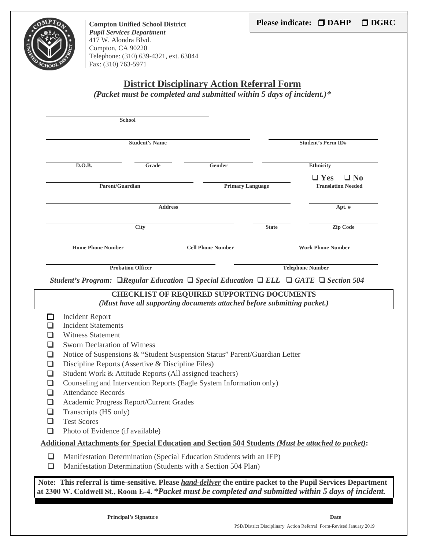

**Compton Unified School District**  *Pupil Services Department*  417 W. Alondra Blvd. Compton, CA 90220 Telephone: (310) 639-4321, ext. 63044 Fax: (310) 763-5971

#### **District Disciplinary Action Referral Form**

*(Packet must be completed and submitted within 5 days of incident.)\** 

|    | <b>Student's Name</b>                                                            |                                                                                                                                                                                            |                          |              | <b>Student's Perm ID#</b>                                                                                      |  |
|----|----------------------------------------------------------------------------------|--------------------------------------------------------------------------------------------------------------------------------------------------------------------------------------------|--------------------------|--------------|----------------------------------------------------------------------------------------------------------------|--|
|    | D.O.B.<br>Grade                                                                  |                                                                                                                                                                                            | Gender                   |              | <b>Ethnicity</b>                                                                                               |  |
|    |                                                                                  | Parent/Guardian                                                                                                                                                                            | <b>Primary Language</b>  |              | $\Box$ Yes<br>$\Box$ No<br><b>Translation Needed</b>                                                           |  |
|    |                                                                                  | <b>Address</b>                                                                                                                                                                             |                          |              | Apt. #                                                                                                         |  |
|    |                                                                                  | <b>City</b>                                                                                                                                                                                |                          | <b>State</b> | Zip Code                                                                                                       |  |
|    | <b>Home Phone Number</b>                                                         |                                                                                                                                                                                            | <b>Cell Phone Number</b> |              | <b>Work Phone Number</b>                                                                                       |  |
|    |                                                                                  | <b>Probation Officer</b>                                                                                                                                                                   |                          |              | <b>Telephone Number</b>                                                                                        |  |
|    |                                                                                  |                                                                                                                                                                                            |                          |              | Student's Program: $\Box$ Regular Education $\Box$ Special Education $\Box$ ELL $\Box$ GATE $\Box$ Section 504 |  |
|    |                                                                                  |                                                                                                                                                                                            |                          |              |                                                                                                                |  |
|    | <b>Incident Report</b><br><b>Incident Statements</b><br><b>Witness Statement</b> | <b>CHECKLIST OF REQUIRED SUPPORTING DOCUMENTS</b><br>(Must have all supporting documents attached before submitting packet.)                                                               |                          |              |                                                                                                                |  |
| ┚  | <b>Sworn Declaration of Witness</b>                                              | Notice of Suspensions & "Student Suspension Status" Parent/Guardian Letter<br>Discipline Reports (Assertive & Discipline Files)<br>Student Work & Attitude Reports (All assigned teachers) |                          |              |                                                                                                                |  |
| L. | <b>Attendance Records</b><br>Transcripts (HS only)<br><b>Test Scores</b>         | Counseling and Intervention Reports (Eagle System Information only)<br>Academic Progress Report/Current Grades                                                                             |                          |              |                                                                                                                |  |
| ப  | Photo of Evidence (if available)                                                 |                                                                                                                                                                                            |                          |              | Additional Attachments for Special Education and Section 504 Students (Must be attached to packet):            |  |

**Principal's Signature Date** Date **Date**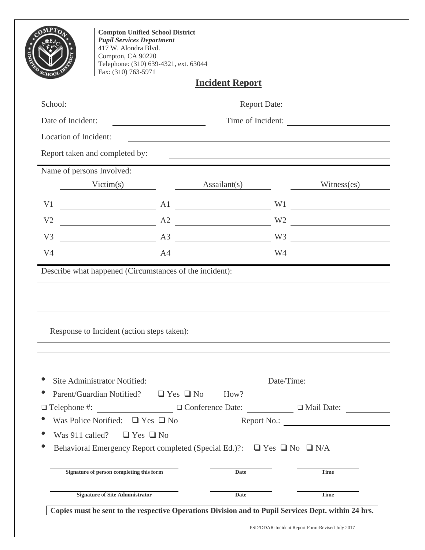|                       | <b>Pupil Services Department</b><br>417 W. Alondra Blvd.<br>Compton, CA 90220<br>Fax: (310) 763-5971 | <b>Compton Unified School District</b><br>Telephone: (310) 639-4321, ext. 63044                                        |                        |                                     |                                                                     |
|-----------------------|------------------------------------------------------------------------------------------------------|------------------------------------------------------------------------------------------------------------------------|------------------------|-------------------------------------|---------------------------------------------------------------------|
|                       |                                                                                                      |                                                                                                                        | <b>Incident Report</b> |                                     |                                                                     |
| School:               |                                                                                                      |                                                                                                                        |                        |                                     | Report Date:                                                        |
| Date of Incident:     |                                                                                                      |                                                                                                                        |                        |                                     | Time of Incident:                                                   |
| Location of Incident: |                                                                                                      | <u> 1989 - Johann Stoff, deutscher Stoffen und der Stoffen und der Stoffen und der Stoffen und der Stoffen und der</u> |                        |                                     |                                                                     |
|                       | Report taken and completed by:                                                                       |                                                                                                                        |                        |                                     |                                                                     |
|                       | Name of persons Involved:                                                                            |                                                                                                                        |                        |                                     |                                                                     |
|                       |                                                                                                      |                                                                                                                        |                        | Assailant(s) $\qquad \qquad \qquad$ | Witness(es)                                                         |
| V <sub>1</sub>        |                                                                                                      | A1                                                                                                                     |                        |                                     | W1                                                                  |
| V <sub>2</sub>        | <u> 1989 - Johann Barbara, martin a</u>                                                              | $A2 \overline{\phantom{a}}$                                                                                            |                        |                                     | W2                                                                  |
| V <sub>3</sub>        |                                                                                                      | A3 W3                                                                                                                  |                        |                                     |                                                                     |
|                       |                                                                                                      |                                                                                                                        |                        |                                     |                                                                     |
| V <sub>4</sub>        |                                                                                                      | A4 W4<br>Describe what happened (Circumstances of the incident):                                                       |                        |                                     | <u> 1989 - Andrea Stadt Britain, amerikansk politiker (d. 1989)</u> |
|                       | Response to Incident (action steps taken):                                                           |                                                                                                                        |                        |                                     |                                                                     |
|                       |                                                                                                      |                                                                                                                        |                        |                                     |                                                                     |
|                       | Site Administrator Notified:                                                                         |                                                                                                                        |                        |                                     | Date/Time:                                                          |
|                       | Parent/Guardian Notified? $\Box$ Yes $\Box$ No                                                       |                                                                                                                        |                        |                                     | $\text{How?}$                                                       |
|                       |                                                                                                      | □ Telephone #: □ Conference Date: □ Mail Date: □ Mail Date:                                                            |                        |                                     |                                                                     |
|                       | Was Police Notified: $\Box$ Yes $\Box$ No                                                            |                                                                                                                        |                        |                                     | Report No.:                                                         |
|                       | Was 911 called? $\Box$ Yes $\Box$ No                                                                 | Behavioral Emergency Report completed (Special Ed.)?: $\Box$ Yes $\Box$ No $\Box$ N/A                                  |                        |                                     |                                                                     |
|                       | Signature of person completing this form                                                             |                                                                                                                        | <b>Date</b>            |                                     | <b>Time</b>                                                         |
|                       | <b>Signature of Site Administrator</b>                                                               |                                                                                                                        | <b>Date</b>            |                                     | <b>Time</b>                                                         |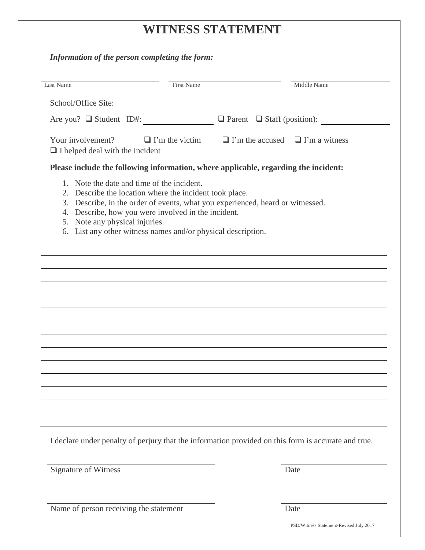# **WITNESS STATEMENT**

| Last Name                                                                                                                                                                                                                                                                                          | <b>First Name</b> |                                                                   | Middle Name |
|----------------------------------------------------------------------------------------------------------------------------------------------------------------------------------------------------------------------------------------------------------------------------------------------------|-------------------|-------------------------------------------------------------------|-------------|
| School/Office Site:                                                                                                                                                                                                                                                                                |                   |                                                                   |             |
| Are you? $\Box$ Student ID#: $\Box$ Parent $\Box$ Staff (position):                                                                                                                                                                                                                                |                   |                                                                   |             |
| Your involvement?<br>$\Box$ I helped deal with the incident                                                                                                                                                                                                                                        |                   | $\Box$ I'm the victim $\Box$ I'm the accused $\Box$ I'm a witness |             |
| Please include the following information, where applicable, regarding the incident:                                                                                                                                                                                                                |                   |                                                                   |             |
| 2. Describe the location where the incident took place.<br>3. Describe, in the order of events, what you experienced, heard or witnessed.<br>4. Describe, how you were involved in the incident.<br>5. Note any physical injuries.<br>6. List any other witness names and/or physical description. |                   |                                                                   |             |
|                                                                                                                                                                                                                                                                                                    |                   |                                                                   |             |
|                                                                                                                                                                                                                                                                                                    |                   |                                                                   |             |
|                                                                                                                                                                                                                                                                                                    |                   |                                                                   |             |
|                                                                                                                                                                                                                                                                                                    |                   |                                                                   |             |
|                                                                                                                                                                                                                                                                                                    |                   |                                                                   |             |
|                                                                                                                                                                                                                                                                                                    |                   |                                                                   |             |
|                                                                                                                                                                                                                                                                                                    |                   |                                                                   |             |
|                                                                                                                                                                                                                                                                                                    |                   |                                                                   |             |
| I declare under penalty of perjury that the information provided on this form is accurate and true.                                                                                                                                                                                                |                   |                                                                   |             |
|                                                                                                                                                                                                                                                                                                    |                   |                                                                   |             |

Name of person receiving the statement Date

PSD/Witness Statement-Revised July 2017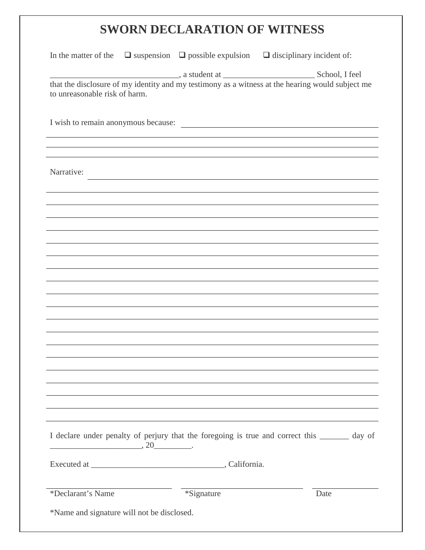# **SWORN DECLARATION OF WITNESS**

| In the matter of the                       |                                                                                                                       | $\Box$ suspension $\Box$ possible expulsion $\Box$ disciplinary incident of:                  |  |
|--------------------------------------------|-----------------------------------------------------------------------------------------------------------------------|-----------------------------------------------------------------------------------------------|--|
| to unreasonable risk of harm.              |                                                                                                                       |                                                                                               |  |
|                                            |                                                                                                                       | I wish to remain anonymous because:                                                           |  |
|                                            |                                                                                                                       |                                                                                               |  |
| Narrative:                                 | <u> 1980 - Andrea Station Barbara, actor a component de la componentación de la componentación de la componentaci</u> |                                                                                               |  |
|                                            |                                                                                                                       |                                                                                               |  |
|                                            |                                                                                                                       |                                                                                               |  |
|                                            |                                                                                                                       |                                                                                               |  |
|                                            |                                                                                                                       |                                                                                               |  |
|                                            |                                                                                                                       |                                                                                               |  |
|                                            |                                                                                                                       |                                                                                               |  |
|                                            |                                                                                                                       |                                                                                               |  |
|                                            |                                                                                                                       |                                                                                               |  |
|                                            |                                                                                                                       |                                                                                               |  |
|                                            |                                                                                                                       |                                                                                               |  |
|                                            |                                                                                                                       |                                                                                               |  |
|                                            |                                                                                                                       |                                                                                               |  |
| $\overbrace{\hspace{2.5cm}}^{20}$ .        |                                                                                                                       | I declare under penalty of perjury that the foregoing is true and correct this _______ day of |  |
|                                            |                                                                                                                       |                                                                                               |  |
| *Declarant's Name                          | *Signature                                                                                                            | Date                                                                                          |  |
| *Name and signature will not be disclosed. |                                                                                                                       |                                                                                               |  |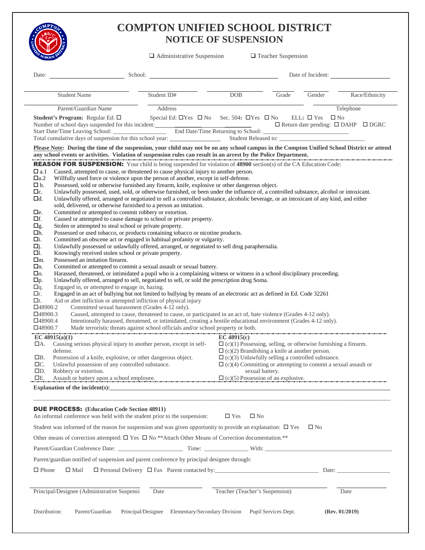

### **COMPTON UNIFIED SCHOOL DISTRICT NOTICE OF SUSPENSION**

|                                                                                                                                                                                                                                                                                                                                                                                                                                                                                                                                                                                                                                                                                                                                                                                                                                                                                                                                                                                                                                                                                                                                                                                                                                                                                                                                                                                                                                                                                                                                                                                                                                                                                                                                                                                                                                                                                                                                                                                                                                                                                                                                                                                                                                                                                                                                                                                                                                                                                                                                                                                                                                                                                                            | $\Box$ Administrative Suspension                                |                                                                                                                                                                                                                                                                                                       | $\Box$ Teacher Suspension |                                 |                                                     |
|------------------------------------------------------------------------------------------------------------------------------------------------------------------------------------------------------------------------------------------------------------------------------------------------------------------------------------------------------------------------------------------------------------------------------------------------------------------------------------------------------------------------------------------------------------------------------------------------------------------------------------------------------------------------------------------------------------------------------------------------------------------------------------------------------------------------------------------------------------------------------------------------------------------------------------------------------------------------------------------------------------------------------------------------------------------------------------------------------------------------------------------------------------------------------------------------------------------------------------------------------------------------------------------------------------------------------------------------------------------------------------------------------------------------------------------------------------------------------------------------------------------------------------------------------------------------------------------------------------------------------------------------------------------------------------------------------------------------------------------------------------------------------------------------------------------------------------------------------------------------------------------------------------------------------------------------------------------------------------------------------------------------------------------------------------------------------------------------------------------------------------------------------------------------------------------------------------------------------------------------------------------------------------------------------------------------------------------------------------------------------------------------------------------------------------------------------------------------------------------------------------------------------------------------------------------------------------------------------------------------------------------------------------------------------------------------------------|-----------------------------------------------------------------|-------------------------------------------------------------------------------------------------------------------------------------------------------------------------------------------------------------------------------------------------------------------------------------------------------|---------------------------|---------------------------------|-----------------------------------------------------|
| Date:<br>School:                                                                                                                                                                                                                                                                                                                                                                                                                                                                                                                                                                                                                                                                                                                                                                                                                                                                                                                                                                                                                                                                                                                                                                                                                                                                                                                                                                                                                                                                                                                                                                                                                                                                                                                                                                                                                                                                                                                                                                                                                                                                                                                                                                                                                                                                                                                                                                                                                                                                                                                                                                                                                                                                                           |                                                                 |                                                                                                                                                                                                                                                                                                       |                           | Date of Incident:               |                                                     |
| <b>Student Name</b>                                                                                                                                                                                                                                                                                                                                                                                                                                                                                                                                                                                                                                                                                                                                                                                                                                                                                                                                                                                                                                                                                                                                                                                                                                                                                                                                                                                                                                                                                                                                                                                                                                                                                                                                                                                                                                                                                                                                                                                                                                                                                                                                                                                                                                                                                                                                                                                                                                                                                                                                                                                                                                                                                        | Student ID#                                                     | DOB                                                                                                                                                                                                                                                                                                   | Grade                     | Gender                          | Race/Ethnicity                                      |
| Parent/Guardian Name                                                                                                                                                                                                                                                                                                                                                                                                                                                                                                                                                                                                                                                                                                                                                                                                                                                                                                                                                                                                                                                                                                                                                                                                                                                                                                                                                                                                                                                                                                                                                                                                                                                                                                                                                                                                                                                                                                                                                                                                                                                                                                                                                                                                                                                                                                                                                                                                                                                                                                                                                                                                                                                                                       | Address                                                         |                                                                                                                                                                                                                                                                                                       |                           |                                 | Telephone                                           |
| Student's Program: Regular Ed: □<br>Number of school days suspended for this incident:<br>Start Date/Time Leaving School:  Bud Date/Time Returning to School:<br>Total cumulative days of suspension for this school year:                                                                                                                                                                                                                                                                                                                                                                                                                                                                                                                                                                                                                                                                                                                                                                                                                                                                                                                                                                                                                                                                                                                                                                                                                                                                                                                                                                                                                                                                                                                                                                                                                                                                                                                                                                                                                                                                                                                                                                                                                                                                                                                                                                                                                                                                                                                                                                                                                                                                                 | Special Ed: $\Box$ Yes $\Box$ No Sec. 504: $\Box$ Yes $\Box$ No |                                                                                                                                                                                                                                                                                                       |                           | $ELL: \Box Yes$<br>$\square$ No | $\Box$ Return date pending: $\Box$ DAHP $\Box$ DGRC |
| Please Note: During the time of the suspension, your child may not be on any school campus in the Compton Unified School District or attend                                                                                                                                                                                                                                                                                                                                                                                                                                                                                                                                                                                                                                                                                                                                                                                                                                                                                                                                                                                                                                                                                                                                                                                                                                                                                                                                                                                                                                                                                                                                                                                                                                                                                                                                                                                                                                                                                                                                                                                                                                                                                                                                                                                                                                                                                                                                                                                                                                                                                                                                                                |                                                                 |                                                                                                                                                                                                                                                                                                       |                           |                                 |                                                     |
| any school events or activities. Violation of suspension rules can result in an arrest by the Police Department.<br><b>REASON FOR SUSPENSION:</b> Your child is being suspended for violation of 48900 section(s) of the CA Education Code:<br>Caused, attempted to cause, or threatened to cause physical injury to another person.<br>$\Box$ a.1<br>$\square$ a.2<br>Willfully used force or violence upon the person of another, except in self-defense.<br>□b.<br>Possessed, sold or otherwise furnished any firearm, knife, explosive or other dangerous object.<br>Unlawfully possessed, used, sold, or otherwise furnished, or been under the influence of, a controlled substance, alcohol or intoxicant.<br>$\Box$ c.<br>Unlawfully offered, arranged or negotiated to sell a controlled substance, alcoholic beverage, or an intoxicant of any kind, and either<br>$\Box$ d.<br>sold, delivered, or otherwise furnished to a person an imitation.<br>Committed or attempted to commit robbery or extortion.<br>$\Box$ e.<br>$\Box f$ .<br>Caused or attempted to cause damage to school or private property.<br>Stolen or attempted to steal school or private property.<br>$\Box$ g.<br>Possessed or used tobacco, or products containing tobacco or nicotine products.<br>$\Box h.$<br>□i.<br>Committed an obscene act or engaged in habitual profanity or vulgarity.<br>Unlawfully possessed or unlawfully offered, arranged, or negotiated to sell drug paraphernalia.<br>□j.<br>□1.<br>Knowingly received stolen school or private property.<br>$\Box$ m.<br>Possessed an imitation firearm.<br>Committed or attempted to commit a sexual assault or sexual battery.<br>□n.<br>Harassed, threatened, or intimidated a pupil who is a complaining witness or witness in a school disciplinary proceeding.<br>$\square$<br>Unlawfully offered, arranged to sell, negotiated to sell, or sold the prescription drug Soma.<br>$\square p$ .<br>Engaged in, or attempted to engage in, hazing.<br>$\Box q$ .<br>Engaged in an act of bullying but not limited to bullying by means of an electronic act as defined in Ed. Code 32261<br>□r.<br>$\Box$ t.<br>Aid or abet infliction or attempted infliction of physical injury<br>$\square$ 48900.2<br>Committed sexual harassment (Grades 4-12 only).<br>$\Box$ 48900.3<br>Caused, attempted to cause, threatened to cause, or participated in an act of, hate violence (Grades 4-12 only).<br>$\square$ 48900.4<br>Intentionally harassed, threatened, or intimidated, creating a hostile educational environment (Grades 4-12 only).<br>$\square$ 48900.7<br>Made terroristic threats against school officials and/or school property or both. |                                                                 |                                                                                                                                                                                                                                                                                                       |                           |                                 |                                                     |
| EC $48915(a)(1)$<br>Causing serious physical injury to another person, except in self-<br>$\Box$ A.<br>defense.<br>$\Box B$ .<br>Possession of a knife, explosive, or other dangerous object.<br>$\Box C$ .<br>Unlawful possession of any controlled substance.<br>$\square D.$<br>Robbery or extortion.<br>Assault or battery upon a school employee.<br>$\Box E.$<br>Explanation of the incident(s): $\qquad \qquad \qquad$                                                                                                                                                                                                                                                                                                                                                                                                                                                                                                                                                                                                                                                                                                                                                                                                                                                                                                                                                                                                                                                                                                                                                                                                                                                                                                                                                                                                                                                                                                                                                                                                                                                                                                                                                                                                                                                                                                                                                                                                                                                                                                                                                                                                                                                                              |                                                                 | EC $48915(c)$<br>$\Box$ (c)(1) Possessing, selling, or otherwise furnishing a firearm.<br>$\Box$ (c)(2) Brandishing a knife at another person.<br>$\Box$ (c)(3) Unlawfully selling a controlled substance.<br>$\Box$ (c)(4) Committing or attempting to commit a sexual assault or<br>sexual battery. |                           |                                 |                                                     |
| <b>DUE PROCESS:</b> (Education Code Section 48911)<br>An informal conference was held with the student prior to the suspension:<br>Student was informed of the reason for suspension and was given opportunity to provide an explanation: $\Box$ Yes<br>Other means of correction attempted: $\square$ Yes $\square$ No **Attach Other Means of Correction documentation.**<br>Parent/guardian notified of suspension and parent conference by principal designee through:<br>$\Box$ Phone<br>$\Box$ Mail                                                                                                                                                                                                                                                                                                                                                                                                                                                                                                                                                                                                                                                                                                                                                                                                                                                                                                                                                                                                                                                                                                                                                                                                                                                                                                                                                                                                                                                                                                                                                                                                                                                                                                                                                                                                                                                                                                                                                                                                                                                                                                                                                                                                  |                                                                 | $\square$ No<br>$\Box$ Yes                                                                                                                                                                                                                                                                            |                           | $\square$ No                    |                                                     |
| Principal/Designee (Administrative Suspensi-                                                                                                                                                                                                                                                                                                                                                                                                                                                                                                                                                                                                                                                                                                                                                                                                                                                                                                                                                                                                                                                                                                                                                                                                                                                                                                                                                                                                                                                                                                                                                                                                                                                                                                                                                                                                                                                                                                                                                                                                                                                                                                                                                                                                                                                                                                                                                                                                                                                                                                                                                                                                                                                               | Date                                                            | Teacher (Teacher's Suspension)                                                                                                                                                                                                                                                                        |                           |                                 | Date                                                |
|                                                                                                                                                                                                                                                                                                                                                                                                                                                                                                                                                                                                                                                                                                                                                                                                                                                                                                                                                                                                                                                                                                                                                                                                                                                                                                                                                                                                                                                                                                                                                                                                                                                                                                                                                                                                                                                                                                                                                                                                                                                                                                                                                                                                                                                                                                                                                                                                                                                                                                                                                                                                                                                                                                            |                                                                 |                                                                                                                                                                                                                                                                                                       |                           |                                 |                                                     |
| Parent/Guardian<br>Distribution:<br>Principal/Designee                                                                                                                                                                                                                                                                                                                                                                                                                                                                                                                                                                                                                                                                                                                                                                                                                                                                                                                                                                                                                                                                                                                                                                                                                                                                                                                                                                                                                                                                                                                                                                                                                                                                                                                                                                                                                                                                                                                                                                                                                                                                                                                                                                                                                                                                                                                                                                                                                                                                                                                                                                                                                                                     | Elementary/Secondary Division                                   |                                                                                                                                                                                                                                                                                                       | Pupil Services Dept.      |                                 | (Rev. 01/2019)                                      |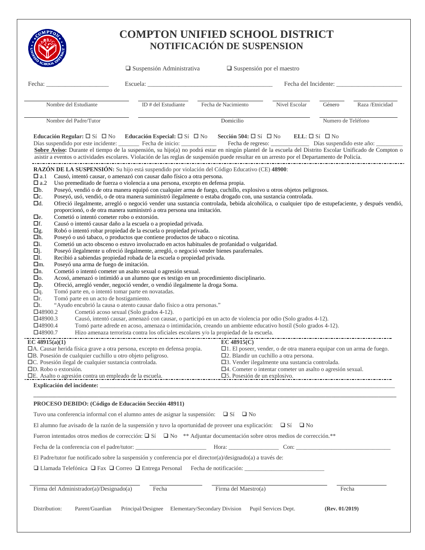|                                                                                                                                                                                                                                                                                                                                                                                                                                                                                                                       | <b>COMPTON UNIFIED SCHOOL DISTRICT</b>                                                                                                                                                                                                                                                                                                                                                                                                                                                                                                                                                                                                                                                                                                                                                                                                                                                                                                                                                                                                                                                                                                                                                                                                                                                                                                                                                                                                                                                                                                                                                                                                                                                                                                                                                                                                                                                                                       |                                                                                                                                                                                                                                                          |                      |                           |                  |
|-----------------------------------------------------------------------------------------------------------------------------------------------------------------------------------------------------------------------------------------------------------------------------------------------------------------------------------------------------------------------------------------------------------------------------------------------------------------------------------------------------------------------|------------------------------------------------------------------------------------------------------------------------------------------------------------------------------------------------------------------------------------------------------------------------------------------------------------------------------------------------------------------------------------------------------------------------------------------------------------------------------------------------------------------------------------------------------------------------------------------------------------------------------------------------------------------------------------------------------------------------------------------------------------------------------------------------------------------------------------------------------------------------------------------------------------------------------------------------------------------------------------------------------------------------------------------------------------------------------------------------------------------------------------------------------------------------------------------------------------------------------------------------------------------------------------------------------------------------------------------------------------------------------------------------------------------------------------------------------------------------------------------------------------------------------------------------------------------------------------------------------------------------------------------------------------------------------------------------------------------------------------------------------------------------------------------------------------------------------------------------------------------------------------------------------------------------------|----------------------------------------------------------------------------------------------------------------------------------------------------------------------------------------------------------------------------------------------------------|----------------------|---------------------------|------------------|
|                                                                                                                                                                                                                                                                                                                                                                                                                                                                                                                       | <b>NOTIFICACIÓN DE SUSPENSION</b>                                                                                                                                                                                                                                                                                                                                                                                                                                                                                                                                                                                                                                                                                                                                                                                                                                                                                                                                                                                                                                                                                                                                                                                                                                                                                                                                                                                                                                                                                                                                                                                                                                                                                                                                                                                                                                                                                            |                                                                                                                                                                                                                                                          |                      |                           |                  |
|                                                                                                                                                                                                                                                                                                                                                                                                                                                                                                                       | $\Box$ Suspensión Administrativa                                                                                                                                                                                                                                                                                                                                                                                                                                                                                                                                                                                                                                                                                                                                                                                                                                                                                                                                                                                                                                                                                                                                                                                                                                                                                                                                                                                                                                                                                                                                                                                                                                                                                                                                                                                                                                                                                             | $\Box$ Suspensión por el maestro                                                                                                                                                                                                                         |                      |                           |                  |
| Fecha:                                                                                                                                                                                                                                                                                                                                                                                                                                                                                                                |                                                                                                                                                                                                                                                                                                                                                                                                                                                                                                                                                                                                                                                                                                                                                                                                                                                                                                                                                                                                                                                                                                                                                                                                                                                                                                                                                                                                                                                                                                                                                                                                                                                                                                                                                                                                                                                                                                                              |                                                                                                                                                                                                                                                          |                      |                           |                  |
| Nombre del Estudiante                                                                                                                                                                                                                                                                                                                                                                                                                                                                                                 | ID # del Estudiante                                                                                                                                                                                                                                                                                                                                                                                                                                                                                                                                                                                                                                                                                                                                                                                                                                                                                                                                                                                                                                                                                                                                                                                                                                                                                                                                                                                                                                                                                                                                                                                                                                                                                                                                                                                                                                                                                                          | Fecha de Nacimiento                                                                                                                                                                                                                                      | Nivel Escolar        | Género                    | Raza / Etnicidad |
| Nombre del Padre/Tutor                                                                                                                                                                                                                                                                                                                                                                                                                                                                                                |                                                                                                                                                                                                                                                                                                                                                                                                                                                                                                                                                                                                                                                                                                                                                                                                                                                                                                                                                                                                                                                                                                                                                                                                                                                                                                                                                                                                                                                                                                                                                                                                                                                                                                                                                                                                                                                                                                                              | Domicilio                                                                                                                                                                                                                                                |                      | Numero de Teléfono        |                  |
|                                                                                                                                                                                                                                                                                                                                                                                                                                                                                                                       | Educación Regular: $\Box$ Sí $\Box$ No Educación Especial: $\Box$ Sí $\Box$ No Sección 504: $\Box$ Sí $\Box$ No<br>Días suspendido por este incidente: Fecha de inicio: Fecha de regreso: Días suspendido este año:<br>Sobre Aviso: Durante el tiempo de la suspensión, su hijo(a) no podrá estar en ningún plantel de la escuela del Distrito Escolar Unificado de Compton o<br>asistir a eventos o actividades escolares. Violación de las reglas de suspensión puede resultar en un arresto por el Departamento de Policía.                                                                                                                                                                                                                                                                                                                                                                                                                                                                                                                                                                                                                                                                                                                                                                                                                                                                                                                                                                                                                                                                                                                                                                                                                                                                                                                                                                                               |                                                                                                                                                                                                                                                          |                      | $ELL: \Box S$ i $\Box$ No |                  |
| $\square$ a.1<br>$\square$ a.2<br>$\square$ b.<br>$\Box$ c.<br>$\Box$ d.<br>Cometió o intentó cometer robo o extorsión.<br>$\Box$ e.<br>□f.<br>$\Box$ g.<br>□h.<br>□i.<br>$\Box j.$<br>□1.<br>Poseyó una arma de fuego de imitación.<br>$\Box$ m.<br>$\Box$ n.<br>$\square$<br>$\Box p.$<br>Tomó parte en, o intentó tomar parte en novatadas.<br>$\Box q$ .<br>$\Box$ r.<br>Tomó parte en un acto de hostigamiento.<br>$\Box$ t.<br>$\square$ 48900.2<br>$\square$ 48900.3<br>$\square$ 48900.4<br>$\square$ 48900.7 | RAZÓN DE LA SUSPENSIÓN: Su hijo está suspendido por violación del Código Educativo (CE) 48900:<br>Causó, intentó causar, o amenazó con causar daño físico a otra persona.<br>Uso premeditado de fuerza o violencia a una persona, excepto en defensa propia.<br>Poseyó, vendió o de otra manera equipó con cualquier arma de fuego, cuchillo, explosivo u otros objetos peligrosos.<br>Poseyó, usó, vendió, o de otra manera suministró ilegalmente o estaba drogado con, una sustancia controlada.<br>Ofreció ilegalmente, arregló o negoció vender una sustancia controlada, bebida alcohólica, o cualquier tipo de estupefaciente, y después vendió,<br>proporcionó, o de otra manera suministró a otra persona una imitación.<br>Causó o intentó causar daño a la escuela o a propiedad privada.<br>Robó o intentó robar propiedad de la escuela o propiedad privada.<br>Poseyó o usó tabaco, o productos que contiene productos de tabaco o nicotina.<br>Cometió un acto obsceno o estuvo involucrado en actos habituales de profanidad o vulgaridad.<br>Poseyó ilegalmente u ofreció ilegalmente, arregló, o negoció vender bienes parafernales.<br>Recibió a sabiendas propiedad robada de la escuela o propiedad privada.<br>Cometió o intentó cometer un asalto sexual o agresión sexual.<br>Acosó, amenazó o intimidó a un alumno que es testigo en un procedimiento disciplinario.<br>Ofreció, arregló vender, negoció vender, o vendió ilegalmente la droga Soma.<br>"Ayudo encubrió la causa o atento causar daño físico a otra personas."<br>Cometió acoso sexual (Solo grados 4-12).<br>Causó, intentó causar, amenazó con causar, o participó en un acto de violencia por odio (Solo grados 4-12).<br>Tomó parte adrede en acoso, amenaza o intimidación, creando un ambiente educativo hostíl (Solo grados 4-12).<br>Hizo amenaza terrorista contra los oficiales escolares y/o la propiedad de la escuela. |                                                                                                                                                                                                                                                          |                      |                           |                  |
| EC $48915(a)(1)$<br>□A. Causar herida física grave a otra persona, excepto en defensa propia.<br>□B. Posesión de cualquier cuchillo u otro objeto peligroso.<br>□C. Posesión ilegal de cualquier sustancia controlada.<br>□D. Robo o extorsión.                                                                                                                                                                                                                                                                       |                                                                                                                                                                                                                                                                                                                                                                                                                                                                                                                                                                                                                                                                                                                                                                                                                                                                                                                                                                                                                                                                                                                                                                                                                                                                                                                                                                                                                                                                                                                                                                                                                                                                                                                                                                                                                                                                                                                              | EC 48915(C)<br>□1. El poseer, vender, o de otra manera equipar con un arma de fuego.<br>□2. Blandir un cuchillo a otra persona.<br>□3. Vender ilegalmente una sustancia controlada.<br>$\Box$ 4. Cometer o intentar cometer un asalto o agresión sexual. |                      |                           |                  |
|                                                                                                                                                                                                                                                                                                                                                                                                                                                                                                                       | Explicación del incidente:                                                                                                                                                                                                                                                                                                                                                                                                                                                                                                                                                                                                                                                                                                                                                                                                                                                                                                                                                                                                                                                                                                                                                                                                                                                                                                                                                                                                                                                                                                                                                                                                                                                                                                                                                                                                                                                                                                   |                                                                                                                                                                                                                                                          |                      |                           |                  |
| PROCESO DEBIDO: (Código de Educación Sección 48911)                                                                                                                                                                                                                                                                                                                                                                                                                                                                   |                                                                                                                                                                                                                                                                                                                                                                                                                                                                                                                                                                                                                                                                                                                                                                                                                                                                                                                                                                                                                                                                                                                                                                                                                                                                                                                                                                                                                                                                                                                                                                                                                                                                                                                                                                                                                                                                                                                              |                                                                                                                                                                                                                                                          |                      |                           |                  |
|                                                                                                                                                                                                                                                                                                                                                                                                                                                                                                                       | Tuvo una conferencia informal con el alumno antes de asignar la suspensión: $\square$ Sí $\square$ No                                                                                                                                                                                                                                                                                                                                                                                                                                                                                                                                                                                                                                                                                                                                                                                                                                                                                                                                                                                                                                                                                                                                                                                                                                                                                                                                                                                                                                                                                                                                                                                                                                                                                                                                                                                                                        |                                                                                                                                                                                                                                                          |                      |                           |                  |
|                                                                                                                                                                                                                                                                                                                                                                                                                                                                                                                       | El alumno fue avisado de la razón de la suspensión y tuvo la oportunidad de proveer una explicación: $\Box$ Sí $\Box$ No                                                                                                                                                                                                                                                                                                                                                                                                                                                                                                                                                                                                                                                                                                                                                                                                                                                                                                                                                                                                                                                                                                                                                                                                                                                                                                                                                                                                                                                                                                                                                                                                                                                                                                                                                                                                     |                                                                                                                                                                                                                                                          |                      |                           |                  |
|                                                                                                                                                                                                                                                                                                                                                                                                                                                                                                                       | Fueron intentados otros medios de corrección: $\Box$ Sí $\Box$ No ** Adjuntar documentación sobre otros medios de corrección.**                                                                                                                                                                                                                                                                                                                                                                                                                                                                                                                                                                                                                                                                                                                                                                                                                                                                                                                                                                                                                                                                                                                                                                                                                                                                                                                                                                                                                                                                                                                                                                                                                                                                                                                                                                                              |                                                                                                                                                                                                                                                          |                      |                           |                  |
|                                                                                                                                                                                                                                                                                                                                                                                                                                                                                                                       |                                                                                                                                                                                                                                                                                                                                                                                                                                                                                                                                                                                                                                                                                                                                                                                                                                                                                                                                                                                                                                                                                                                                                                                                                                                                                                                                                                                                                                                                                                                                                                                                                                                                                                                                                                                                                                                                                                                              |                                                                                                                                                                                                                                                          |                      |                           |                  |
|                                                                                                                                                                                                                                                                                                                                                                                                                                                                                                                       | El Padre/tutor fue notificado sobre la suspensión y conferencia por el director(a)/designado(a) a través de:                                                                                                                                                                                                                                                                                                                                                                                                                                                                                                                                                                                                                                                                                                                                                                                                                                                                                                                                                                                                                                                                                                                                                                                                                                                                                                                                                                                                                                                                                                                                                                                                                                                                                                                                                                                                                 |                                                                                                                                                                                                                                                          |                      |                           |                  |
|                                                                                                                                                                                                                                                                                                                                                                                                                                                                                                                       |                                                                                                                                                                                                                                                                                                                                                                                                                                                                                                                                                                                                                                                                                                                                                                                                                                                                                                                                                                                                                                                                                                                                                                                                                                                                                                                                                                                                                                                                                                                                                                                                                                                                                                                                                                                                                                                                                                                              |                                                                                                                                                                                                                                                          |                      |                           |                  |
| Firma del Administrador(a)/Designado(a)                                                                                                                                                                                                                                                                                                                                                                                                                                                                               | Fecha                                                                                                                                                                                                                                                                                                                                                                                                                                                                                                                                                                                                                                                                                                                                                                                                                                                                                                                                                                                                                                                                                                                                                                                                                                                                                                                                                                                                                                                                                                                                                                                                                                                                                                                                                                                                                                                                                                                        | Firma del Maestro(a)                                                                                                                                                                                                                                     |                      | Fecha                     |                  |
| Distribution:<br>Parent/Guardian                                                                                                                                                                                                                                                                                                                                                                                                                                                                                      | Principal/Designee<br>Elementary/Secondary Division                                                                                                                                                                                                                                                                                                                                                                                                                                                                                                                                                                                                                                                                                                                                                                                                                                                                                                                                                                                                                                                                                                                                                                                                                                                                                                                                                                                                                                                                                                                                                                                                                                                                                                                                                                                                                                                                          |                                                                                                                                                                                                                                                          | Pupil Services Dept. | (Rev. 01/2019)            |                  |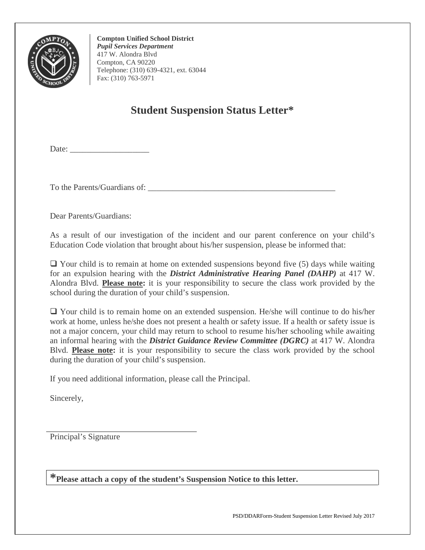

**Compton Unified School District**  *Pupil Services Department*  417 W. Alondra Blvd Compton, CA 90220 Telephone: (310) 639-4321, ext. 63044 Fax: (310) 763-5971

### **Student Suspension Status Letter\***

Date: \_\_\_\_\_\_\_\_\_\_\_\_\_\_\_\_\_\_\_

To the Parents/Guardians of: \_\_\_\_\_\_\_\_\_\_\_\_\_\_\_\_\_\_\_\_\_\_\_\_\_\_\_\_\_\_\_\_\_\_\_\_\_\_\_\_\_\_\_\_\_

Dear Parents/Guardians:

As a result of our investigation of the incident and our parent conference on your child's Education Code violation that brought about his/her suspension, please be informed that:

 $\Box$  Your child is to remain at home on extended suspensions beyond five (5) days while waiting for an expulsion hearing with the *District Administrative Hearing Panel (DAHP)* at 417 W. Alondra Blvd. **Please note:** it is your responsibility to secure the class work provided by the school during the duration of your child's suspension.

 Your child is to remain home on an extended suspension. He/she will continue to do his/her work at home, unless he/she does not present a health or safety issue. If a health or safety issue is not a major concern, your child may return to school to resume his/her schooling while awaiting an informal hearing with the *District Guidance Review Committee (DGRC)* at 417 W. Alondra Blvd. **Please note:** it is your responsibility to secure the class work provided by the school during the duration of your child's suspension.

If you need additional information, please call the Principal.

Sincerely,

Principal's Signature

**\*Please attach a copy of the student's Suspension Notice to this letter.**

PSD/DDARForm-Student Suspension Letter Revised July 2017